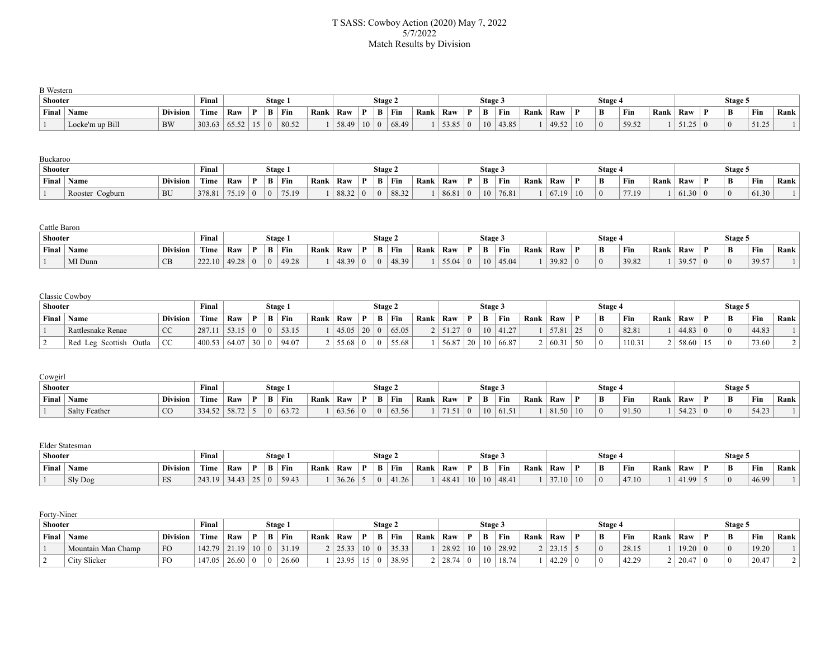### T SASS: Cowboy Action (2020) May 7, 2022 5/7/2022 Match Results by Division

| <b>B</b> Western |                 |                 |                |     |      |         |       |      |       |             |       |      |       |                |                 |                 |      |                  |    |          |       |      |                |   |          |       |      |
|------------------|-----------------|-----------------|----------------|-----|------|---------|-------|------|-------|-------------|-------|------|-------|----------------|-----------------|-----------------|------|------------------|----|----------|-------|------|----------------|---|----------|-------|------|
| Shooter          |                 |                 | Final          |     |      | Stage i |       |      |       | Stage 2     |       |      |       |                | Stage.          |                 |      |                  |    | Stage 4  |       |      |                |   | Stage:   |       |      |
| Final            | <b>Name</b>     | <b>Division</b> | Time           | Raw | n.   | B       | Fin   | Rank | Raw   | B           | Fin   | Rank | Raw   | $\mathbf{D}$ + | B               | Fin             | Rank | <sup>1</sup> Raw |    | B        | Fin   | Rank | Raw            | Ð | B        | Fin   | Rank |
|                  | Locke'm up Bill | <b>BW</b>       | $303.63$ 65.52 |     | 15 0 |         | 80.52 |      | 58.49 | $10 \mid 0$ | 68.49 |      | 53.85 |                | 10 <sup>1</sup> | $ 43.85\rangle$ |      | 49.52            | 10 | $\theta$ | 59.52 |      | $51.25 \mid 0$ |   | $\theta$ | 51.25 |      |

#### Buckaroo

| Shooter |                 |                 | Final  |         |              |              | Stage 1 |      |             | Stage 2 |       |      |       |              | <b>Stage 3</b>  |       |      |       |    | <b>Stage</b> |       |      |       |    | Stage 5 |       |      |
|---------|-----------------|-----------------|--------|---------|--------------|--------------|---------|------|-------------|---------|-------|------|-------|--------------|-----------------|-------|------|-------|----|--------------|-------|------|-------|----|---------|-------|------|
| Final   | Name            | <b>Division</b> | Time   | Raw     | $\mathbf{D}$ | $\mathbf{B}$ | Fin     | Rank | $\perp$ Raw | B       | ' Fin | Rank | Raw   | $\mathbf{D}$ |                 | Fin   | Rank | Raw   |    | B            | Fin   | Rank | Raw   | n. | B       | Fin   | Rank |
|         | Rooster Cogburn | <b>BU</b>       | 378.81 | $75.19$ |              |              | 75.19   |      | 88.32       |         | 88.32 |      | 86.81 |              | 10 <sup>1</sup> | 76.81 |      | 07.19 | 10 | $\Omega$     | 77.19 |      | 61.30 |    |         | 61.30 |      |

#### Cattle Baron

| Shooter |         |                 | Final  |      |              | Stage 1          |       |      |       |    | Stage 4 |       |      |       |        | <b>Stage 3</b> |       |      |       |   | <b>Stage</b> |       |      |       |   | Stage. |       |      |
|---------|---------|-----------------|--------|------|--------------|------------------|-------|------|-------|----|---------|-------|------|-------|--------|----------------|-------|------|-------|---|--------------|-------|------|-------|---|--------|-------|------|
| Final   | Name    | <b>Division</b> | Time   | Raw  | $\mathbf{D}$ |                  | Fin   | Rank | ' Raw | n. | B       | Fin   | Rank | Raw   | $\sim$ |                | Fin   | Rank | Raw   | n | B            | Fin   | Rank | Raw   | n | B      | Fin   | Rank |
|         | MI Dunn | CD<br><b>CD</b> | 222.10 | 1928 |              | $\left( \right)$ | 49.28 |      | 18.20 |    |         | 48.39 |      | 55.04 |        | 10             | 45.04 |      | 39.82 |   |              | 39.82 |      | 39.57 |   |        | 39.57 |      |

## Classic Cowboy

| <b>Shooter</b> |                           |                 | Final  |                |              | Stage 1   |      |                  |    | Stage 2 |       |      |       |              | <b>Stage 3</b>  |       |      |       |    | Stage |       |      |       | Stage 5        |           |      |
|----------------|---------------------------|-----------------|--------|----------------|--------------|-----------|------|------------------|----|---------|-------|------|-------|--------------|-----------------|-------|------|-------|----|-------|-------|------|-------|----------------|-----------|------|
| Final          | Name                      | <b>Division</b> | Time   | Raw            | $\mathbf{D}$ | $B$   Fin | Rank | <sup>'</sup> Raw |    | B       | Fin   | Rank | Raw   | $\mathbf{D}$ |                 | Fin   | Rank | Raw   |    | B     | Fin   | Rank | Raw   | B              | Fin       | Rank |
|                | Rattlesnake Renae         | <sub>CC</sub>   | 287.11 | 52.15<br>53.15 |              | 53.15     |      | 45.05            | 20 |         | 65.05 |      | 51.27 |              | 10 <sup>1</sup> | 41.27 |      | 57.81 |    |       | 82.81 |      | 44.83 | $\overline{0}$ | 44.83     |      |
|                | Leg Scottish Outla<br>Red | <sub>CC</sub>   | 400.53 | 64.07          | 30 0         | 94.07     |      | 55.68            |    |         | 55.68 |      | 56.87 | 20           | 10 <sup>1</sup> | 66.87 |      | 60.31 | 50 |       | 110.3 |      | 58.60 | $\Omega$       | $73.60 +$ |      |

#### Cowgirl

| <b>Shooter</b> |               |                 | Final  |       |              |   | Stage 1 |      |      |     | Stage. |       |      |       |          | <b>Stage 3</b> |       |      |       | <b>Stage</b> |       |      |       |   | Stage 5  |       |      |
|----------------|---------------|-----------------|--------|-------|--------------|---|---------|------|------|-----|--------|-------|------|-------|----------|----------------|-------|------|-------|--------------|-------|------|-------|---|----------|-------|------|
| Final          | `Name         | <b>Division</b> | Time   | ` Raw | $\mathbf{D}$ | B | ` Fin   | Rank | Raw  | ∵n. | B      | Fin   | Rank | Raw   | n.       | Ð<br>Ð         | Fin   | Rank | Raw   | B            | Fin   | Rank | Raw   | Ð | B        | Fin   | Rank |
|                | Salty Feather | CO              | 334.52 | 58.72 |              |   | 63.72   |      | 1625 |     |        | 63.56 |      | 71.51 | $\theta$ | 10             | 61.51 |      | 81.50 | $\Omega$     | 91.50 |      | 54.2? |   | $\Omega$ | 54.23 |      |

#### Elder Statesman

| Shooter |             |                 | Final  |       |              | Stage 1      |       |      |                  | Stage 4  |       |      |       |    | Stage 3 |       |      |                          | Stage    |       |      |     |   | Stage: |       |      |
|---------|-------------|-----------------|--------|-------|--------------|--------------|-------|------|------------------|----------|-------|------|-------|----|---------|-------|------|--------------------------|----------|-------|------|-----|---|--------|-------|------|
| Final   | <b>Name</b> | <b>Division</b> | Time   | Raw   | $\mathbf{D}$ | $\mathbf{D}$ | ' Fin | Rank | <sup>'</sup> Raw | B        | Fin   | Rank | Raw   | D. | Ð       | Fin   | Rank | Raw                      | B        | Fin   | Rank | Raw | Ð | B      | Fin   | Rank |
|         | Sly Dog     | ES              | 243.19 | 34.43 | $25 \mid 0$  |              | 59.43 |      | 36.26            | $\Omega$ | 41.26 |      | 48.41 | 10 | 10      | 48.41 |      | 27.3<br>1.1 <sub>0</sub> | $\Omega$ | 47.10 |      |     |   |        | 46.99 |      |

| Forty-Niner |
|-------------|
|-------------|

| Shooter |                    |                 | Final          |       |    |   | Stage 1 |      |       |              | Stage 2 |           |      |                    |         | <b>Stage 3</b> |       |      |               | Stage |                  |      |       |   | Stage 5 |       |      |
|---------|--------------------|-----------------|----------------|-------|----|---|---------|------|-------|--------------|---------|-----------|------|--------------------|---------|----------------|-------|------|---------------|-------|------------------|------|-------|---|---------|-------|------|
| Final   | ' Name             | <b>Division</b> | Time           | Raw   |    | B | Fin     | Rank | Raw   | $\mathbf{D}$ |         | $B$   Fin | Rank | Raw                |         | B              | Fin   | Rank | Raw           | B     | Fin              | Rank | Raw   | D | B       | Fin   | Rank |
|         | Mountain Man Champ | <b>FO</b>       | $142.79$ 21.19 |       | 10 |   | 31.19   |      | 25.33 | 10           |         | 35.33     |      | 28.92              | 10      |                | 28.92 |      | 2315<br>23.IJ |       | 28.15            |      | 19.20 |   |         | 19.20 |      |
|         | City Slicker       | <b>FO</b>       | 47.05          | 26.60 |    |   | 26.60   |      | 23.95 |              |         | 38.95     |      | $28.74$<br>. 20.14 | $\pm 0$ |                | 18.74 |      | 42.29         |       | 12. 20.<br>42.2. |      | 20.47 |   |         | 20.47 |      |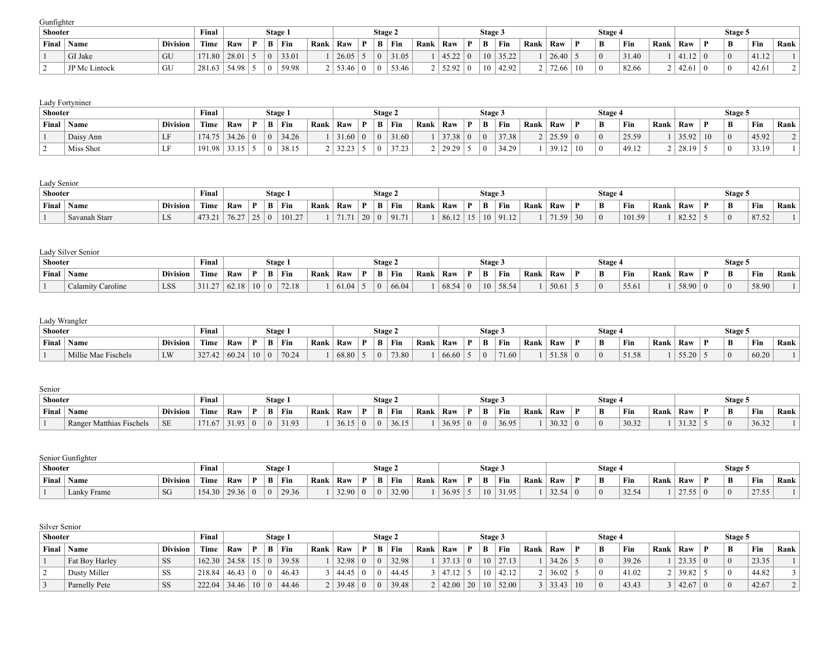Gunfighter

| Shooter |               |                 | Final          |       |              |           | Stage 1   |      |       | Stage 2 |       |      |       |              | Stage 3         |                 |      |       |    | Stage 4 |       |      |                  | Stage 5        |       |      |
|---------|---------------|-----------------|----------------|-------|--------------|-----------|-----------|------|-------|---------|-------|------|-------|--------------|-----------------|-----------------|------|-------|----|---------|-------|------|------------------|----------------|-------|------|
| Final   | Name          | <b>Division</b> | Time           | Raw   | $\mathbf{p}$ |           | $B$   Fin | Rank | Raw   | B       | ' Fin | Rank | Raw   | $\mathbf{D}$ |                 | ` Fin           | Rank | Raw   |    | B       | Fin   | Rank | Raw              | B              | Fin   | Rank |
|         | GI Jake       | GU              | $171.80$ 28.01 |       |              | $\perp$ 0 | 33.01     |      | 26.05 |         | 31.05 |      | 45.22 |              |                 | $10 \mid 35.22$ |      | 26.40 |    |         | 31.40 |      | (11.12)<br>41.IZ | $\overline{0}$ | 41.12 |      |
|         | JP Mc Lintock | GU              | 281.63         | 54.98 |              |           | 59.98     |      | 53.46 |         | 53.46 |      | 52.92 |              | 10 <sup>1</sup> | 42.92           |      | 72.66 | 10 |         | 82.66 |      | 42.61            | $\Omega$       | 42.61 |      |

## Lady Fortyniner

| <b>Shooter</b> |           |                 | Final  |       |              |    | Stage 1 |      |            | <b>Stage 2</b> |       |      |       |              | Stage 3  |       |      |                        |    | Stage    |       |      |       |    | Stage: |       |                |
|----------------|-----------|-----------------|--------|-------|--------------|----|---------|------|------------|----------------|-------|------|-------|--------------|----------|-------|------|------------------------|----|----------|-------|------|-------|----|--------|-------|----------------|
| Final          | Name      | <b>Division</b> | Time   | Raw   | $\mathbf{D}$ |    | B Fin   | Rank | Raw        | B              | Fin   | Rank | Raw   | $\mathbf{D}$ | B        | Fin   | Rank | Raw                    |    | B        | Fin   | Rank | Raw   | n  | B      | Fin   | Rank           |
|                | Daisy Ann | LF              | 174.75 | 34.26 |              | -0 | 34.26   |      | 31.60      | $\Omega$       | 31.60 |      | 37.38 | $\Omega$     | $\Omega$ | 37.38 |      | 25.59                  |    | $\Omega$ | 25.59 |      | 35.92 | 10 |        | 45.92 | 2 <sup>1</sup> |
|                | Miss Shot | <b>Y Y</b>      | 191.98 | 2215  |              |    | 38.15   |      | 32.23<br>. | $\Omega$       | 37.23 |      | 29.29 |              | $\Omega$ | 34.29 |      | 39.12<br><i>JJ</i> .IL | 10 | $\Omega$ | 49.12 |      | 28.19 |    |        | 33.19 |                |

## Lady Senior

| Shooter |                             |                 | Final              |      |              | Stage 1 |        |      |                 |    | Stage 2 |      |      |       |                      | <b>Stage 3</b> |       |      |       |    | <b>Stage</b> |        |      |       | Stage. |       |      |
|---------|-----------------------------|-----------------|--------------------|------|--------------|---------|--------|------|-----------------|----|---------|------|------|-------|----------------------|----------------|-------|------|-------|----|--------------|--------|------|-------|--------|-------|------|
| Final   | $\mathbf{X}$<br><b>Name</b> | <b>Division</b> | Time               | Raw  | $\mathbf{D}$ | B       | Fin    | Rank | Raw             | D  | B       | Fin  | Rank | Raw   | n                    |                | Fin   | Rank | Raw   |    | B            | Fin    | Rank | Raw   | B      | Fin   | Rank |
|         | ' Savanah Starr             | LD              | 173 J<br>T / J . 4 | 76.2 |              |         | 101.27 |      | 71.7<br>$\pm$ . | 20 |         | 91.7 |      | 86.12 | 15<br>$\overline{1}$ |                | 91.12 |      | 71.59 | 30 | $\theta$     | 101.59 |      | 82.52 |        | 87.52 |      |

|       | Lady Silver Senior |                 |        |       |    |   |         |      |       |    |         |       |      |       |              |         |                  |      |       |              |          |       |      |       |          |       |      |
|-------|--------------------|-----------------|--------|-------|----|---|---------|------|-------|----|---------|-------|------|-------|--------------|---------|------------------|------|-------|--------------|----------|-------|------|-------|----------|-------|------|
|       | Shooter            |                 | Final  |       |    |   | Stage 1 |      |       |    | Stage 2 |       |      |       |              | Stage 3 |                  |      |       |              | Stage 4  |       |      |       | Stage 5  |       |      |
| Final | ' Name             | <b>Division</b> | Time   | Raw   |    | В | ' Fin   | Rank | Raw   | ъ. | B       | ' Fin | Rank | Raw   | $\mathbf{D}$ | B       | <sup>'</sup> Fin | Rank | ' Raw | $\mathbf{D}$ | B        | Fin   | Rank | Raw   | B        | Fin   | Rank |
|       | Calamity Caroline  | LSS             | 311.27 | 62.18 | 10 |   | 72.18   |      | 61.04 |    |         | 66.04 |      | 68.54 |              | 10      | 58.54            |      | 50.61 |              | $\Omega$ | 55.61 |      | 58.90 | $\theta$ | 58.90 |      |

# Lady Wrangler

| <b>Shooter</b> |                     |                 | Final  |       |    |   | Stage 1 |      |       |   | Stage 2 |       |      |       |              | Stage 5 |       |      |       | Stage |                    |      |       | Stage 5    |       |      |
|----------------|---------------------|-----------------|--------|-------|----|---|---------|------|-------|---|---------|-------|------|-------|--------------|---------|-------|------|-------|-------|--------------------|------|-------|------------|-------|------|
| Final          | $\mathbb{N}$ ame    | <b>Division</b> | Time   | Raw   | n. | B | Fin     | Rank | Raw   | m | B       | ' Fin | Rank | Raw   | $\mathbf{D}$ | B       | Fin   | Rank | ' Raw | B     | Fin                | Rank | Raw   | B          | Fin   | Rank |
|                | Millie Mae Fischels | LW              | 327.42 | 60.24 |    |   | 70.24   |      | 68.80 |   |         | 73.80 |      | 66.60 |              |         | 71.60 |      | 51.58 |       | $-1$ $-0$<br>51.58 |      | 55.20 | $\sqrt{0}$ | 60.20 |      |

| Senior         |                          |                 |        |       |     |          |       |      |                 |                |                |       |      |       |              |         |       |      |       |   |                 |       |      |       |         |       |      |
|----------------|--------------------------|-----------------|--------|-------|-----|----------|-------|------|-----------------|----------------|----------------|-------|------|-------|--------------|---------|-------|------|-------|---|-----------------|-------|------|-------|---------|-------|------|
| <b>Shooter</b> |                          |                 | Final  |       |     | Stage 1  |       |      |                 |                | Stage 4        |       |      |       |              | Stage 3 |       |      |       |   | <b>Stage 4</b>  |       |      |       | Stage 5 |       |      |
| Final          | `Name                    | <b>Division</b> | Time   | Raw   | ≒π∍ | В        | ` Fin | Rank | $\mathsf{R}$ aw | D.             | B              | Fin   | Rank | Raw   | $\mathbf{D}$ | B       | ' Fin | Rank | Raw   | D | B               | Fin   | Rank | Raw   | B       | Fin   | Rank |
|                | Ranger Matthias Fischels | <b>SE</b>       | 171.67 | 31.93 |     | $\theta$ | 31.93 |      | 36.15           | $\overline{0}$ | $\overline{0}$ | 36.15 |      | 36.95 |              |         | 36.95 |      | 30.32 |   | $\vert 0 \vert$ | 30.32 |      | 31.32 |         | 36.32 |      |

|         | Senior Gunfighter |                 |        |       |              |         |      |       |    |         |           |      |       |     |         |                 |      |                  |       |       |      |                  |    |                |               |      |
|---------|-------------------|-----------------|--------|-------|--------------|---------|------|-------|----|---------|-----------|------|-------|-----|---------|-----------------|------|------------------|-------|-------|------|------------------|----|----------------|---------------|------|
| Shooter |                   |                 | Final  |       |              | Stage 1 |      |       |    | Stage 2 |           |      |       |     | Stage 3 |                 |      |                  | Stage |       |      |                  |    | Stage 5        |               |      |
| Final   | Name              | <b>Division</b> | Time   | Raw   | $\mathbf{D}$ | ' Fin   | Rank | Raw   | n. |         | $B$   Fin | Rank | Raw   | 'Dι |         | Fin             | Rank | <sup>'</sup> Raw | B     | Fin   | Rank | <sup>'</sup> Raw | n. | $\mathbf{B}$   | Fin           | Rank |
|         | Lanky Frame       | SG              | 154.30 | 29.36 |              | 29.36   |      | 32.90 |    |         | 32.90     |      | 36.95 |     |         | $10 \mid 31.95$ |      | 32.54            |       | 32.54 |      | 27.55            |    | $\overline{0}$ | 2755<br>21.JJ |      |

| Silver Senior  |                |                 |                          |       |             |           |      |       |         |       |      |       |              |         |                 |      |                |    |         |       |      |                |            |                |       |      |
|----------------|----------------|-----------------|--------------------------|-------|-------------|-----------|------|-------|---------|-------|------|-------|--------------|---------|-----------------|------|----------------|----|---------|-------|------|----------------|------------|----------------|-------|------|
| <b>Shooter</b> |                |                 | Final                    |       |             | Stage 1   |      |       | Stage 2 |       |      |       |              | Stage 3 |                 |      |                |    | Stage 4 |       |      |                |            | Stage 5        |       |      |
| Final          | Name           | <b>Division</b> | Time                     | Raw   | <b>D</b>    | $B$   Fin | Rank | Raw   | B       | Fin   | Rank | Raw   | $\mathbf{D}$ | B       | Fin             | Rank | Raw            |    | B       | Fin   | Rank | Raw            |            | B              | Fin   | Rank |
|                | Fat Boy Harley | <b>SS</b>       | $162.30 \mid 24.58 \mid$ |       | 15 0        | 39.58     |      | 32.98 |         | 32.98 |      | 37.13 | $\Omega$     |         | $10 \mid 27.13$ |      | $34.26$ 5      |    |         | 39.26 |      | $23.35 \mid 0$ |            | $\overline{0}$ | 23.35 |      |
|                | Dusty Miller   | SS              | 218.84                   | 46.43 |             | 46.43     |      | 44.45 |         | 44.45 |      | 47.12 |              | 10      | 42.12           |      | 36.02          |    |         | 41.02 |      | 139.82         |            | $\Omega$       | 44.82 |      |
|                | Parnelly Pete  | <b>SS</b>       | 222.04                   | 34.46 | $10\vert 0$ | 44.46     |      | 39.48 |         | 39.48 |      | 42.00 | 20           |         | $10 \mid 52.00$ |      | $3 \mid 33.43$ | 10 |         | 43.43 |      | 42.67          | $\vert$ () | $\overline{0}$ | 42.67 |      |